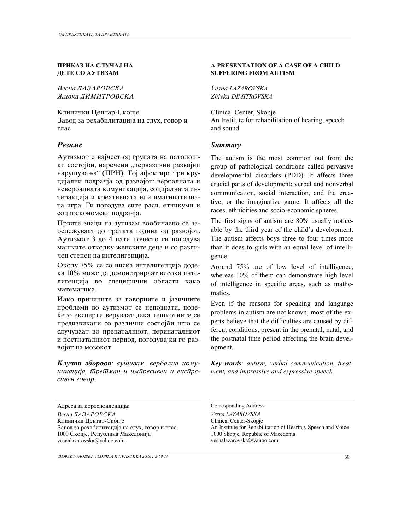### **ПРИКАЗ НА СЛУЧАЈ НА ДЕТЕ СО АУТИЗАМ**

**Весна ЛАЗАРОВСКА Живка ДИМИТРОВСКА** 

Клинички Центар-Скопје Завод за рехабилитација на слух, говор и глас

Аутизмот е најчест од групата на патолошки состојби, наречени "первазивни развојни нарушувања" (ПРН). Тој афектира три круцијални подрачја од развојот: вербалната и невербалната комуникација, социјалната интеракција и креативната или имагинативната игра. Ги погодува сите раси, етникуми и социоекономски подрачја.

Првите знаци на аутизам вообичаено се забележуваат до третата година од развојот. Аутизмот 3 до 4 пати почесто ги погодува машките отколку женските деца и со различен степен на интелигенција.

Околу 75% се со ниска интелигенција додека 10% може да демонстрираат висока интелигенција во специфични области како математика.

Иако причините за говорните и јазичните проблеми во аутизмот се непознати, повеќето експерти веруваат дека тешкотиите се предизвикани со различни состојби што се случуваат во пренаталниот, перинаталниот и постнаталниот период, погодувајќи го развојот на мозокот.

Клучни зборови: аушизам, вербална кому*nikacija, tretman i impresiven i ekspresiven govor.* 

Agpeca за кореспонденција: Corresponding Address: *Vesna LAZAROVSKA Vesna LAZAROVSKA*  Клинички Центар-Скопје Завод за рехабилитација на слух, говор и глас 1000 Скопје, Република Македонија vesnalazarovska@yahoo.com

### *DEFEKTOLO[KA TEORIJA I PRAKTIKA 2005; 1-2: 69-73* 69

## **A PRESENTATION OF A CASE OF A CHILD SUFFERING FROM AUTISM**

*Vesna LAZAROVSKA Zhivka DIMITROVSKA* 

Clinical Center, Skopje An Institute for rehabilitation of hearing, speech and sound

## *Rezime Summary*

The autism is the most common out from the group of pathological conditions called pervasive developmental disorders (PDD). It affects three crucial parts of development: verbal and nonverbal communication, social interaction, and the creative, or the imaginative game. It affects all the races, ethnicities and socio-economic spheres.

The first signs of autism are 80% usually noticeable by the third year of the child's development. The autism affects boys three to four times more than it does to girls with an equal level of intelligence.

Around 75% are of low level of intelligence, whereas 10% of them can demonstrate high level of intelligence in specific areas, such as mathematics.

Even if the reasons for speaking and language problems in autism are not known, most of the experts believe that the difficulties are caused by different conditions, present in the prenatal, natal, and the postnatal time period affecting the brain development.

*Key words: autism, verbal communication, treatment, and impressive and expressive speech.* 

Clinical Center-Skopje An Institute for Rehabilitation of Hearing, Speech and Voice 1000 Skopje, Republic of Macedonia vesnalazarovska@yahoo.com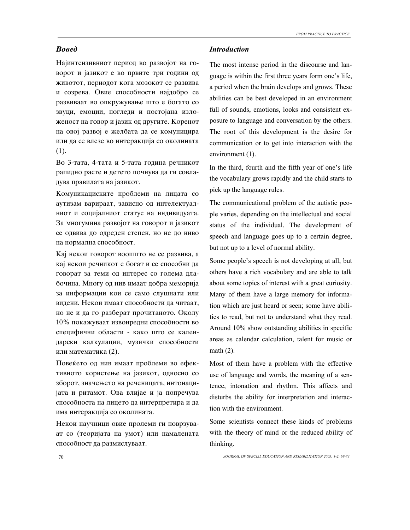Најинтензивниот период во развојот на говорот и јазикот е во првите три години од животот, периодот кога мозокот се развива и созрева. Овие способности најдобро се развиваат во опкружување што е богато со звуци, емоции, погледи и постојана изложеност на говор и јазик од другите. Коренот на овој развој е желбата да се комуницира или да се влезе во интеракција со околината (1).

Во 3-тата, 4-тата и 5-тата година речникот рапидно расте и детето почнува да ги совладува правилата на јазикот.

Комуникациските проблеми на лицата со аутизам варираат, зависно од интелектуалниот и социјалниот статус на индивидуата. За многумина развојот на говорот и јазикот се одвива до одреден степен, но не до ниво на нормална способност.

Кај некои говорот воопшто не се развива, а кај некои речникот е богат и се способни да говорат за теми од интерес со голема длабочина. Многу од нив имаат добра меморија за информации кои се само слушнати или видени. Некои имаат способности да читаат, но не и да го разберат прочитаното. Околу 10% покажуваат извонредни способности во специфични области - како што се календарски калкулации, музички способности или математика (2).

Повеќето од нив имаат проблеми во ефективното користење на јазикот, односно со зборот, значењето на реченицата, интонациjata и ритамот. Ова влијае и ја попречува способноста на лицето да интерпретира и да има интеракција со околината.

Некои научници овие пролеми ги поврзуваат со (теоријата на умот) или намалената способност да размислуваат.

## *Bosed Introduction*

The most intense period in the discourse and language is within the first three years form one's life, a period when the brain develops and grows. These abilities can be best developed in an environment full of sounds, emotions, looks and consistent exposure to language and conversation by the others. The root of this development is the desire for communication or to get into interaction with the environment (1).

In the third, fourth and the fifth year of one's life the vocabulary grows rapidly and the child starts to pick up the language rules.

The communicational problem of the autistic people varies, depending on the intellectual and social status of the individual. The development of speech and language goes up to a certain degree, but not up to a level of normal ability.

Some people's speech is not developing at all, but others have a rich vocabulary and are able to talk about some topics of interest with a great curiosity. Many of them have a large memory for information which are just heard or seen; some have abilities to read, but not to understand what they read. Around 10% show outstanding abilities in specific areas as calendar calculation, talent for music or math (2).

Most of them have a problem with the effective use of language and words, the meaning of a sentence, intonation and rhythm. This affects and disturbs the ability for interpretation and interaction with the environment.

Some scientists connect these kinds of problems with the theory of mind or the reduced ability of thinking.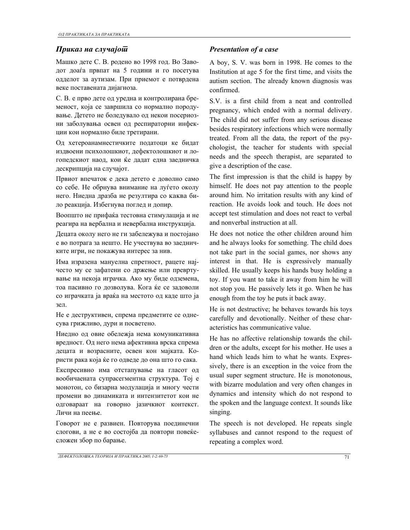# *Presentation of a case Presentation of a case*

Машко дете С. В. родено во 1998 год. Во Zаводот доаѓа првпат на 5 години и го посетува одделот за аутизам. При приемот е потврдена веке поставената дијагноза.

С. В. е прво дете од уредна и контролирана бременост, која се завршила со нормално породување. Детето не боледувало од некои посериозни заболувања освен од респираторни инфекции кои нормално биле третирани.

Од хетероанамнестичките податоци ке бидат издвоени психолошкиот, дефектолошкиот и логопедскиот наод, кои ќе дадат една заедничка дескрипција на случајот.

Првиот впечаток е дека детето е довoлно само со себе. Не обрнува внимание на луѓето околу него. Ниедна дразба не резултира со каква било реакција. Избегнува поглед и допир.

Воопшто не прифаќа тестовна стимулација и не реагира на вербална и невербална инструкција.

Децата околу него не ги забележува и постојано е во потрага за нешто. Не учествува во заедничките игри, не покажува интерес за нив.

Има изразена мануелна спретност, рацете најчесто му се зафатени со држење или превртување на некоја играчка. Ако му биде одземена, тоа пасивно го дозволува. Кога ќе се задоволи со играчката ја враќа на местото од каде што ја зел.

Не е деструктивен, спрема предметите се однесува грижливо, дури и посветено.

Ниедно од овие обележја нeма комуникативна вредност. Од него нема афективна врска спрема децата и возрасните, освен кон мајката. Користи рака која ќе го одведе до она што го сака.

Експресивно има отстапување на гласот од вообичаената супрасегментна структура. Тој е монотон, со бизарна модулација и многу чести промени во динамиката и интензитетот кои не одговараат на говорно јазичкиот контекст. Личи на пеење.

Говорот не е развиен. Повторува поединечни слогови, а не е во состојба да повтори повеќесложен збор по барање.

A boy, S. V. was born in 1998. He comes to the Institution at age 5 for the first time, and visits the autism section. The already known diagnosis was confirmed.

S.V. is a first child from a neat and controlled pregnancy, which ended with a normal delivery. The child did not suffer from any serious disease besides respiratory infections which were normally treated. From all the data, the report of the psychologist, the teacher for students with special needs and the speech therapist, are separated to give a description of the case.

The first impression is that the child is happy by himself. He does not pay attention to the people around him. No irritation results with any kind of reaction. He avoids look and touch. He does not accept test stimulation and does not react to verbal and nonverbal instruction at all.

He does not notice the other children around him and he always looks for something. The child does not take part in the social games, nor shows any interest in that. He is expressively manually skilled. He usually keeps his hands busy holding a toy. If you want to take it away from him he will not stop you. He passively lets it go. When he has enough from the toy he puts it back away.

He is not destructive; he behaves towards his toys carefully and devotionally. Neither of these characteristics has communicative value.

He has no affective relationship towards the children or the adults, except for his mother. He uses a hand which leads him to what he wants. Expressively, there is an exception in the voice from the usual super segment structure. He is monotonous, with bizarre modulation and very often changes in dynamics and intensity which do not respond to the spoken and the language context. It sounds like singing.

The speech is not developed. He repeats single syllabuses and cannot respond to the request of repeating a complex word.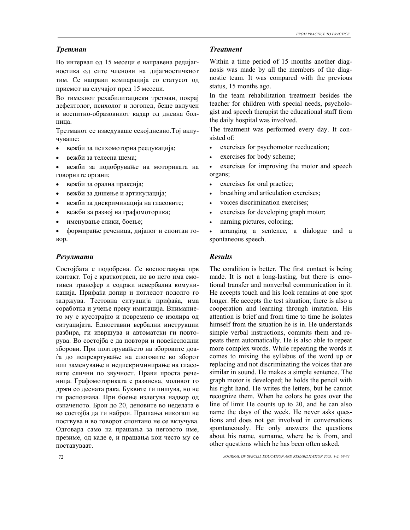Во интервал од 15 месеци е направена редијагностика од сите членови на дијагностичкиот тим. Се направи компарација со статусот од приемот на случајот пред 15 месеци.

Во тимскиот рехабилитациски трeтман, покрај дефектолог, психолог и логопед, беше вклучен и воспитно-образовниот кадар од дневна болница.

Третманот се изведуваше секојдневно.Тој вклучуваше:

- вежби за психомоторна реедукација;
- вежби за телесна шема;
- вежби за подобрување на моториката на говорните органи;
- вежби за орална праксија;
- вежби за дишење и артикулација;
- вежби за дискриминација на гласовите;
- вежби за развој на графомоторика;
- именување слики, боење;
- формирање реченица, дијалог и спонтан говор.

## *Резултати Results*

Состојбата е подобрена. Се воспоставува прв контакт. Тој е краткотраен, но во него има емотивен трансфер и содржи невербална комуникација. Прифаќа допир и погледот подолго го задржува. Тестовна ситуација прифаќа, има соработка и учење преку имитација. Вниманието му е кусотрајно и повремено се изолира од ситуацијата. Едноставни вербални инструкции разбира, ги извршува и автоматски ги повторува. Во состојба е да повтори и повеќесложни зборови. При повторувањето на зборовите доаѓа до испревртување на слоговите во зборот или заменување и недискриминирање на гласовите слични по звучност. Прави проста реченица. Графомоториката е развиена, моливот го држи со десната рака. Буквите ги пишува, но не ги распознава. При боење излегува надвор од означеното. Брои до 20, деновите во неделата е во состојба да ги наброи. Прашања никогаш не посtвува и во говорот спонтано не се вклучува. Одговара само на прашања за неговото име, презиме, од каде е, и прашања кои често му се поставуваат.

## *Третман Treatment*

Within a time period of 15 months another diagnosis was made by all the members of the diagnostic team. It was compared with the previous status, 15 months ago.

In the team rehabilitation treatment besides the teacher for children with special needs, psychologist and speech therapist the educational staff from the daily hospital was involved.

The treatment was performed every day. It consisted of:

- exercises for psychomotor reeducation;
- exercises for body scheme;

exercises for improving the motor and speech organs;

- exercises for oral practice;
- breathing and articulation exercises;
- voices discrimination exercises;
- exercises for developing graph motor;
- naming pictures, coloring;

• arranging a sentence, a dialogue and a spontaneous speech.

The condition is better. The first contact is being made. It is not a long-lasting, but there is emotional transfer and nonverbal communication in it. He accepts touch and his look remains at one spot longer. He accepts the test situation; there is also a cooperation and learning through imitation. His attention is brief and from time to time he isolates himself from the situation he is in. He understands simple verbal instructions, commits them and repeats them automatically. He is also able to repeat more complex words. While repeating the words it comes to mixing the syllabus of the word up or replacing and not discriminating the voices that are similar in sound. He makes a simple sentence. The graph motor is developed; he holds the pencil with his right hand. He writes the letters, but he cannot recognize them. When he colors he goes over the line of limit He counts up to 20, and he can also name the days of the week. He never asks questions and does not get involved in conversations spontaneously. He only answers the questions about his name, surname, where he is from, and other questions which he has been often asked.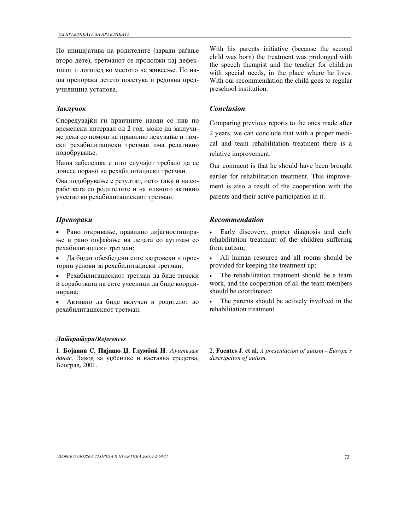По иницијатива на родителите (заради раѓање второ дете), трeтманот се продолжи кај дефектолог и логопед во местото на живеење. По наша препорака детето посетува и редовна преdучилишна установа.

Споредувајќи ги првичните наоди со нив по временски интервал од 2 год. може да заклучиме дека со помош на правилно лекување и тимски рехабилитациски третман има релативно подобрување.

Наша забелешка е што случајот требало да се донесе порано на рехабилитациски третман.

Ова подобрување е резултат, исто така и на соработката со родителите и на нивното активно учество во рехабилитацискиот третман.

• Рано откривање, правилно дијагностицираwе и рано опфаќаwе на децата со аутизам со рехабилитациски третман;

• Да бидат обезбедени сите кадровски и просторни услови за рехабилитациски третман;

• Рехабилитацискиот третман да биде тимски i соработката на сите учесници да биде координирана;

• Активно да биде вклучен и родителот во рехабилитацискиот третман.

### *Literatura/References*

1. Бојанин С, Пијашо Џ. Глумбиќ Н. Ауитизам данас, Завод за уџбенике и наставна средства, Београд, 2001.

With his parents initiative (because the second child was born) the treatment was prolonged with the speech therapist and the teacher for children with special needs, in the place where he lives. With our recommendation the child goes to regular preschool institution.

## *Заклучок Conclusion*

Comparing previous reports to the ones made after 2 years, we can conclude that with a proper medical and team rehabilitation treatment there is a relative improvement.

Our comment is that he should have been brought earlier for rehabilitation treatment. This improvement is also a result of the cooperation with the parents and their active participation in it.

### *Препораки Recommendation*

• Early discovery, proper diagnosis and early rehabilitation treatment of the children suffering from autism;

• All human resource and all rooms should be provided for keeping the treatment up;

The rehabilitation treatment should be a team work, and the cooperation of all the team members should be coordinated;

• The parents should be actively involved in the rehabilitation treatment.

2. **Fuentes J**. **et al**, *A presentacion of autism - Europe`s descripction of autism.*